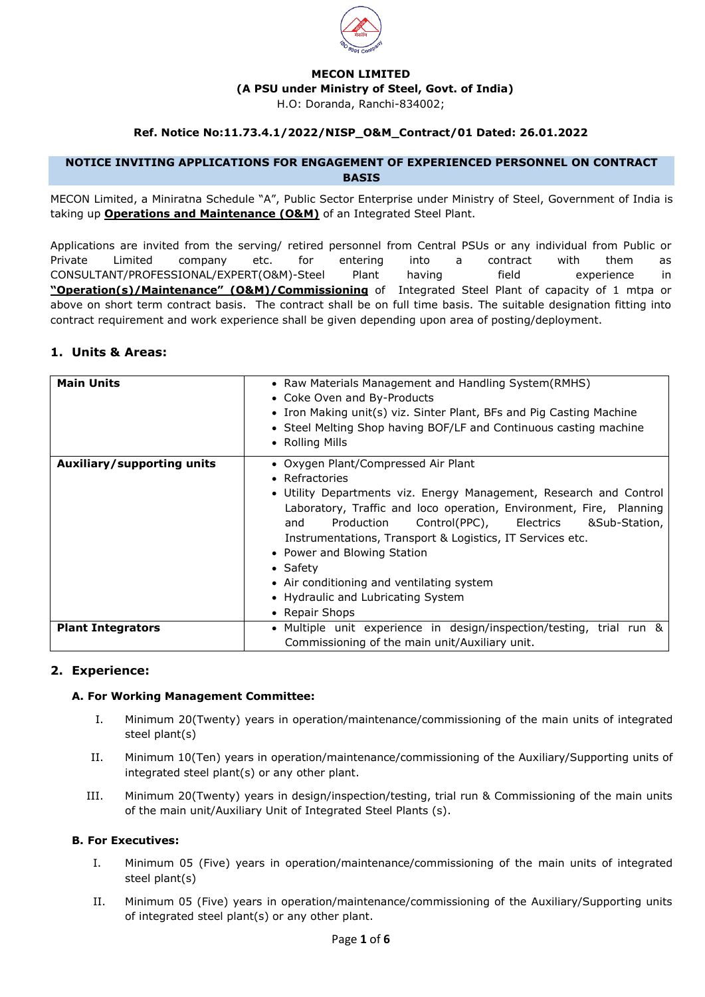

#### **MECON LIMITED**

**(A PSU under Ministry of Steel, Govt. of India)**

H.O: Doranda, Ranchi-834002;

## **Ref. Notice No:11.73.4.1/2022/NISP\_O&M\_Contract/01 Dated: 26.01.2022**

#### **NOTICE INVITING APPLICATIONS FOR ENGAGEMENT OF EXPERIENCED PERSONNEL ON CONTRACT BASIS**

MECON Limited, a Miniratna Schedule "A", Public Sector Enterprise under Ministry of Steel, Government of India is taking up **Operations and Maintenance (O&M)** of an Integrated Steel Plant.

Applications are invited from the serving/ retired personnel from Central PSUs or any individual from Public or Private Limited company etc. for entering into a contract with them as CONSULTANT/PROFESSIONAL/EXPERT(O&M)-Steel Plant having field experience in **"Operation(s)/Maintenance" (O&M)/Commissioning** of Integrated Steel Plant of capacity of 1 mtpa or above on short term contract basis. The contract shall be on full time basis. The suitable designation fitting into contract requirement and work experience shall be given depending upon area of posting/deployment.

# **1. Units & Areas:**

| <b>Main Units</b>          | • Raw Materials Management and Handling System(RMHS)<br>• Coke Oven and By-Products<br>• Iron Making unit(s) viz. Sinter Plant, BFs and Pig Casting Machine<br>• Steel Melting Shop having BOF/LF and Continuous casting machine<br>• Rolling Mills                                                                                                                                                                                                                              |  |  |
|----------------------------|----------------------------------------------------------------------------------------------------------------------------------------------------------------------------------------------------------------------------------------------------------------------------------------------------------------------------------------------------------------------------------------------------------------------------------------------------------------------------------|--|--|
| Auxiliary/supporting units | • Oxygen Plant/Compressed Air Plant<br>• Refractories<br>• Utility Departments viz. Energy Management, Research and Control<br>Laboratory, Traffic and loco operation, Environment, Fire, Planning<br>Production<br>Control(PPC), Electrics<br>&Sub-Station,<br>and<br>Instrumentations, Transport & Logistics, IT Services etc.<br>• Power and Blowing Station<br>• Safety<br>• Air conditioning and ventilating system<br>• Hydraulic and Lubricating System<br>• Repair Shops |  |  |
| <b>Plant Integrators</b>   | • Multiple unit experience in design/inspection/testing, trial run &<br>Commissioning of the main unit/Auxiliary unit.                                                                                                                                                                                                                                                                                                                                                           |  |  |

## **2. Experience:**

## **A. For Working Management Committee:**

- I. Minimum 20(Twenty) years in operation/maintenance/commissioning of the main units of integrated steel plant(s)
- II. Minimum 10(Ten) years in operation/maintenance/commissioning of the Auxiliary/Supporting units of integrated steel plant(s) or any other plant.
- III. Minimum 20(Twenty) years in design/inspection/testing, trial run & Commissioning of the main units of the main unit/Auxiliary Unit of Integrated Steel Plants (s).

## **B. For Executives:**

- I. Minimum 05 (Five) years in operation/maintenance/commissioning of the main units of integrated steel plant(s)
- II. Minimum 05 (Five) years in operation/maintenance/commissioning of the Auxiliary/Supporting units of integrated steel plant(s) or any other plant.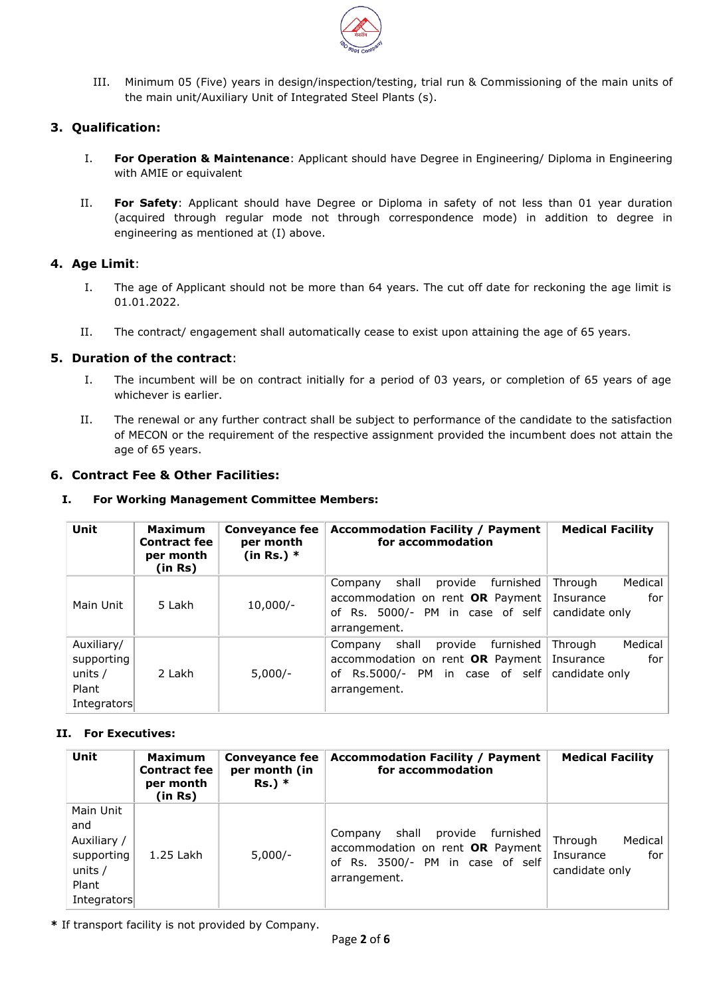

III. Minimum 05 (Five) years in design/inspection/testing, trial run & Commissioning of the main units of the main unit/Auxiliary Unit of Integrated Steel Plants (s).

# **3. Qualification:**

- I. **For Operation & Maintenance**: Applicant should have Degree in Engineering/ Diploma in Engineering with AMIE or equivalent
- II. **For Safety**: Applicant should have Degree or Diploma in safety of not less than 01 year duration (acquired through regular mode not through correspondence mode) in addition to degree in engineering as mentioned at (I) above.

## **4. Age Limit**:

- I. The age of Applicant should not be more than 64 years. The cut off date for reckoning the age limit is 01.01.2022.
- II. The contract/ engagement shall automatically cease to exist upon attaining the age of 65 years.

## **5. Duration of the contract**:

- I. The incumbent will be on contract initially for a period of 03 years, or completion of 65 years of age whichever is earlier.
- II. The renewal or any further contract shall be subject to performance of the candidate to the satisfaction of MECON or the requirement of the respective assignment provided the incumbent does not attain the age of 65 years.

## **6. Contract Fee & Other Facilities:**

#### **I. For Working Management Committee Members:**

| Unit                                                        | Maximum<br><b>Contract fee</b><br>per month<br>(in Rs) | <b>Conveyance fee</b><br>per month<br>(in Rs.) $*$ | <b>Accommodation Facility / Payment</b><br>for accommodation                                                                          | <b>Medical Facility</b>                                  |
|-------------------------------------------------------------|--------------------------------------------------------|----------------------------------------------------|---------------------------------------------------------------------------------------------------------------------------------------|----------------------------------------------------------|
| Main Unit                                                   | 5 Lakh                                                 | $10,000/-$                                         | shall<br>provide<br>furnished<br>Company<br>accommodation on rent OR Payment<br>of Rs. 5000/- PM in case of self<br>arrangement.      | Medical<br>Through<br>for<br>Insurance<br>candidate only |
| Auxiliary/<br>supporting<br>units /<br>Plant<br>Integrators | 2 Lakh                                                 | $5,000/-$                                          | provide<br>furnished<br>shall<br>Company<br>accommodation on rent OR Payment<br>PM in case of self<br>Rs.5000/-<br>of<br>arrangement. | Medical<br>Through<br>for<br>Insurance<br>candidate only |

## **II. For Executives:**

| Unit                                                                             | Maximum<br><b>Contract fee</b><br>per month<br>(in Rs) | <b>Conveyance fee</b><br>per month (in<br>$Rs.$ ) * | <b>Accommodation Facility / Payment</b><br>for accommodation                                                                     | <b>Medical Facility</b>                                  |
|----------------------------------------------------------------------------------|--------------------------------------------------------|-----------------------------------------------------|----------------------------------------------------------------------------------------------------------------------------------|----------------------------------------------------------|
| Main Unit<br>and<br>Auxiliary /<br>supporting<br>units /<br>Plant<br>Integrators | 1.25 Lakh                                              | $5,000/-$                                           | furnished<br>shall<br>provide<br>Company<br>accommodation on rent OR Payment<br>of Rs. 3500/- PM in case of self<br>arrangement. | Medical<br>Through<br>for<br>Insurance<br>candidate only |

**\*** If transport facility is not provided by Company.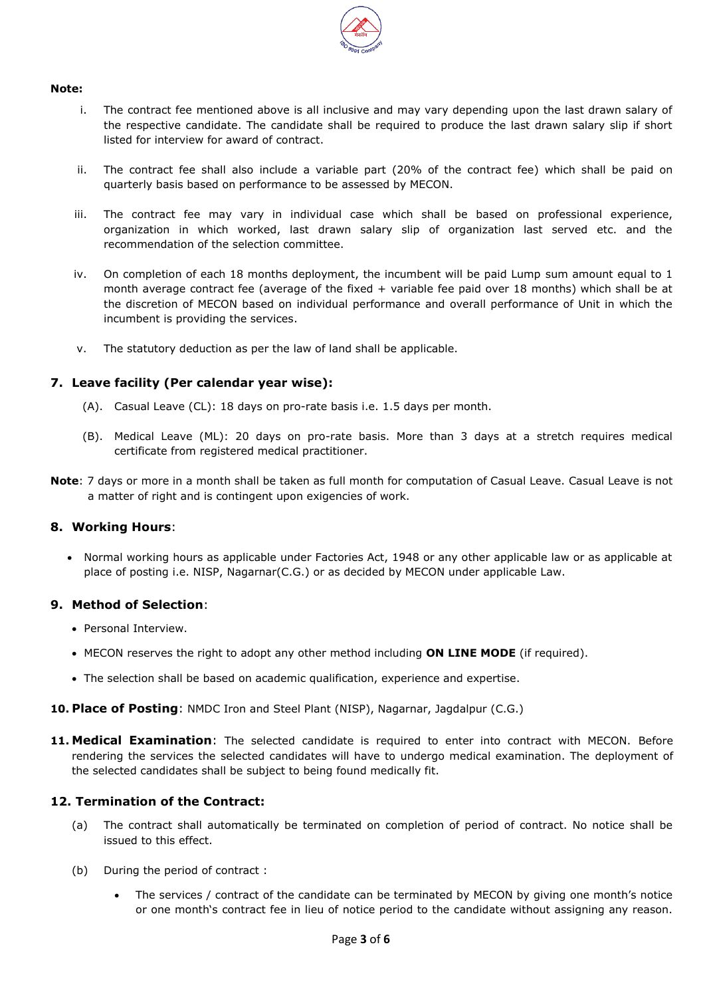

#### **Note:**

- i. The contract fee mentioned above is all inclusive and may vary depending upon the last drawn salary of the respective candidate. The candidate shall be required to produce the last drawn salary slip if short listed for interview for award of contract.
- ii. The contract fee shall also include a variable part (20% of the contract fee) which shall be paid on quarterly basis based on performance to be assessed by MECON.
- iii. The contract fee may vary in individual case which shall be based on professional experience, organization in which worked, last drawn salary slip of organization last served etc. and the recommendation of the selection committee.
- iv. On completion of each 18 months deployment, the incumbent will be paid Lump sum amount equal to 1 month average contract fee (average of the fixed + variable fee paid over 18 months) which shall be at the discretion of MECON based on individual performance and overall performance of Unit in which the incumbent is providing the services.
- v. The statutory deduction as per the law of land shall be applicable.

# **7. Leave facility (Per calendar year wise):**

- (A). Casual Leave (CL): 18 days on pro-rate basis i.e. 1.5 days per month.
- (B). Medical Leave (ML): 20 days on pro-rate basis. More than 3 days at a stretch requires medical certificate from registered medical practitioner.
- **Note**: 7 days or more in a month shall be taken as full month for computation of Casual Leave. Casual Leave is not a matter of right and is contingent upon exigencies of work.

## **8. Working Hours**:

• Normal working hours as applicable under Factories Act, 1948 or any other applicable law or as applicable at place of posting i.e. NISP, Nagarnar(C.G.) or as decided by MECON under applicable Law.

## **9. Method of Selection**:

- Personal Interview.
- MECON reserves the right to adopt any other method including **ON LINE MODE** (if required).
- The selection shall be based on academic qualification, experience and expertise.
- **10. Place of Posting**: NMDC Iron and Steel Plant (NISP), Nagarnar, Jagdalpur (C.G.)
- **11. Medical Examination**: The selected candidate is required to enter into contract with MECON. Before rendering the services the selected candidates will have to undergo medical examination. The deployment of the selected candidates shall be subject to being found medically fit.

## **12. Termination of the Contract:**

- (a) The contract shall automatically be terminated on completion of period of contract. No notice shall be issued to this effect.
- (b) During the period of contract :
	- The services / contract of the candidate can be terminated by MECON by giving one month's notice or one month's contract fee in lieu of notice period to the candidate without assigning any reason.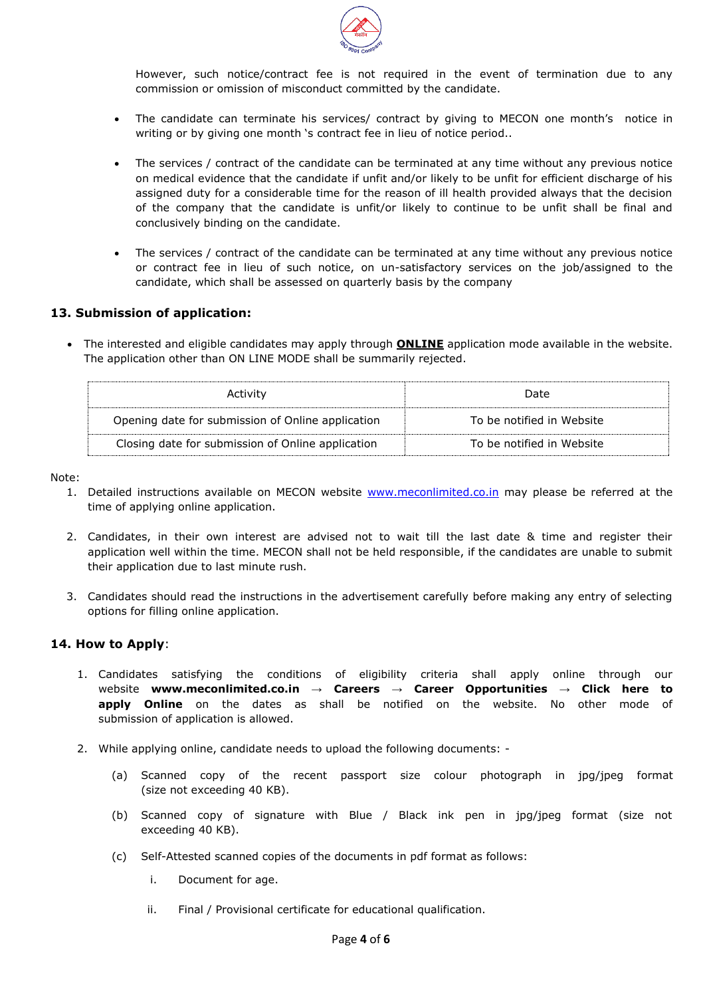

However, such notice/contract fee is not required in the event of termination due to any commission or omission of misconduct committed by the candidate.

- The candidate can terminate his services/ contract by giving to MECON one month's notice in writing or by giving one month 's contract fee in lieu of notice period..
- The services / contract of the candidate can be terminated at any time without any previous notice on medical evidence that the candidate if unfit and/or likely to be unfit for efficient discharge of his assigned duty for a considerable time for the reason of ill health provided always that the decision of the company that the candidate is unfit/or likely to continue to be unfit shall be final and conclusively binding on the candidate.
- The services / contract of the candidate can be terminated at any time without any previous notice or contract fee in lieu of such notice, on un-satisfactory services on the job/assigned to the candidate, which shall be assessed on quarterly basis by the company

## **13. Submission of application:**

 The interested and eligible candidates may apply through **ONLINE** application mode available in the website. The application other than ON LINE MODE shall be summarily rejected.

| Activity                                          | Date                      |
|---------------------------------------------------|---------------------------|
| Opening date for submission of Online application | To be notified in Website |
| Closing date for submission of Online application | To be notified in Website |

Note:

- 1. Detailed instructions available on MECON website [www.meconlimited.co.in](http://www.meconlimited.co.in/) may please be referred at the time of applying online application.
- 2. Candidates, in their own interest are advised not to wait till the last date & time and register their application well within the time. MECON shall not be held responsible, if the candidates are unable to submit their application due to last minute rush.
- 3. Candidates should read the instructions in the advertisement carefully before making any entry of selecting options for filling online application.

## **14. How to Apply**:

- 1. Candidates satisfying the conditions of eligibility criteria shall apply online through our website **www.meconlimited.co.in → Careers → Career Opportunities → Click here to apply Online** on the dates as shall be notified on the website. No other mode of submission of application is allowed.
- 2. While applying online, candidate needs to upload the following documents:
	- (a) Scanned copy of the recent passport size colour photograph in jpg/jpeg format (size not exceeding 40 KB).
	- (b) Scanned copy of signature with Blue / Black ink pen in jpg/jpeg format (size not exceeding 40 KB).
	- (c) Self-Attested scanned copies of the documents in pdf format as follows:
		- i. Document for age.
		- ii. Final / Provisional certificate for educational qualification.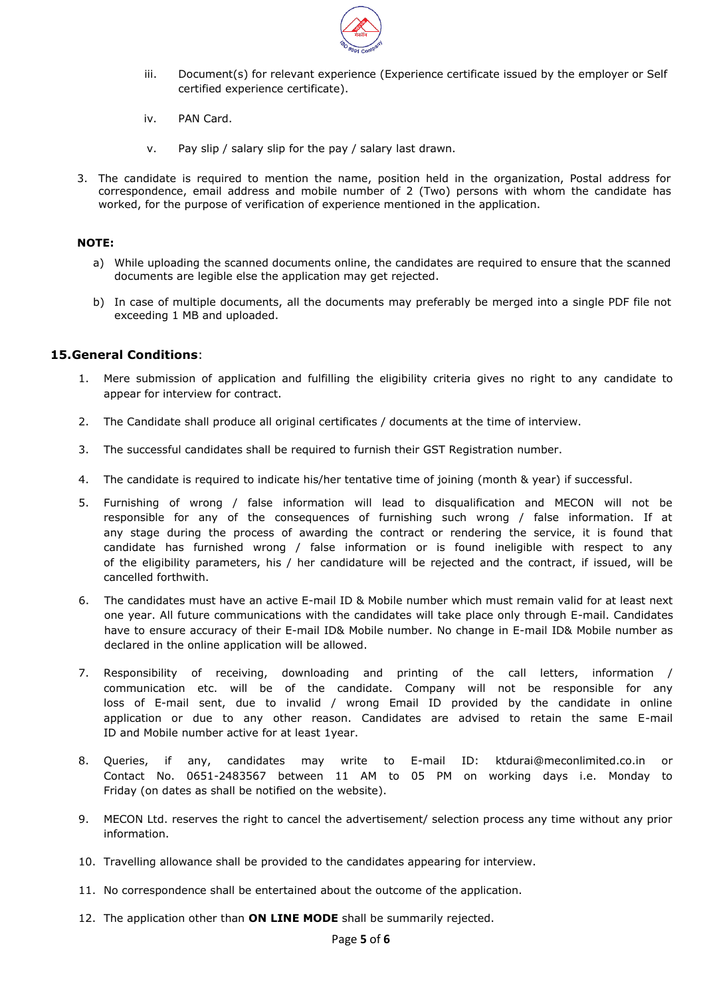

- iii. Document(s) for relevant experience (Experience certificate issued by the employer or Self certified experience certificate).
- iv. PAN Card.
- v. Pay slip / salary slip for the pay / salary last drawn.
- 3. The candidate is required to mention the name, position held in the organization, Postal address for correspondence, email address and mobile number of 2 (Two) persons with whom the candidate has worked, for the purpose of verification of experience mentioned in the application.

#### **NOTE:**

- a) While uploading the scanned documents online, the candidates are required to ensure that the scanned documents are legible else the application may get rejected.
- b) In case of multiple documents, all the documents may preferably be merged into a single PDF file not exceeding 1 MB and uploaded.

#### **15.General Conditions**:

- 1. Mere submission of application and fulfilling the eligibility criteria gives no right to any candidate to appear for interview for contract.
- 2. The Candidate shall produce all original certificates / documents at the time of interview.
- 3. The successful candidates shall be required to furnish their GST Registration number.
- 4. The candidate is required to indicate his/her tentative time of joining (month & year) if successful.
- 5. Furnishing of wrong / false information will lead to disqualification and MECON will not be responsible for any of the consequences of furnishing such wrong / false information. If at any stage during the process of awarding the contract or rendering the service, it is found that candidate has furnished wrong / false information or is found ineligible with respect to any of the eligibility parameters, his / her candidature will be rejected and the contract, if issued, will be cancelled forthwith.
- 6. The candidates must have an active E-mail ID & Mobile number which must remain valid for at least next one year. All future communications with the candidates will take place only through E-mail. Candidates have to ensure accuracy of their E-mail ID& Mobile number. No change in E-mail ID& Mobile number as declared in the online application will be allowed.
- 7. Responsibility of receiving, downloading and printing of the call letters, information / communication etc. will be of the candidate. Company will not be responsible for any loss of E-mail sent, due to invalid / wrong Email ID provided by the candidate in online application or due to any other reason. Candidates are advised to retain the same E-mail ID and Mobile number active for at least 1year.
- 8. Queries, if any, candidates may write to E-mail ID: ktdurai@meconlimited.co.in or Contact No. 0651-2483567 between 11 AM to 05 PM on working days i.e. Monday to Friday (on dates as shall be notified on the website).
- 9. MECON Ltd. reserves the right to cancel the advertisement/ selection process any time without any prior information.
- 10. Travelling allowance shall be provided to the candidates appearing for interview.
- 11. No correspondence shall be entertained about the outcome of the application.
- 12. The application other than **ON LINE MODE** shall be summarily rejected.